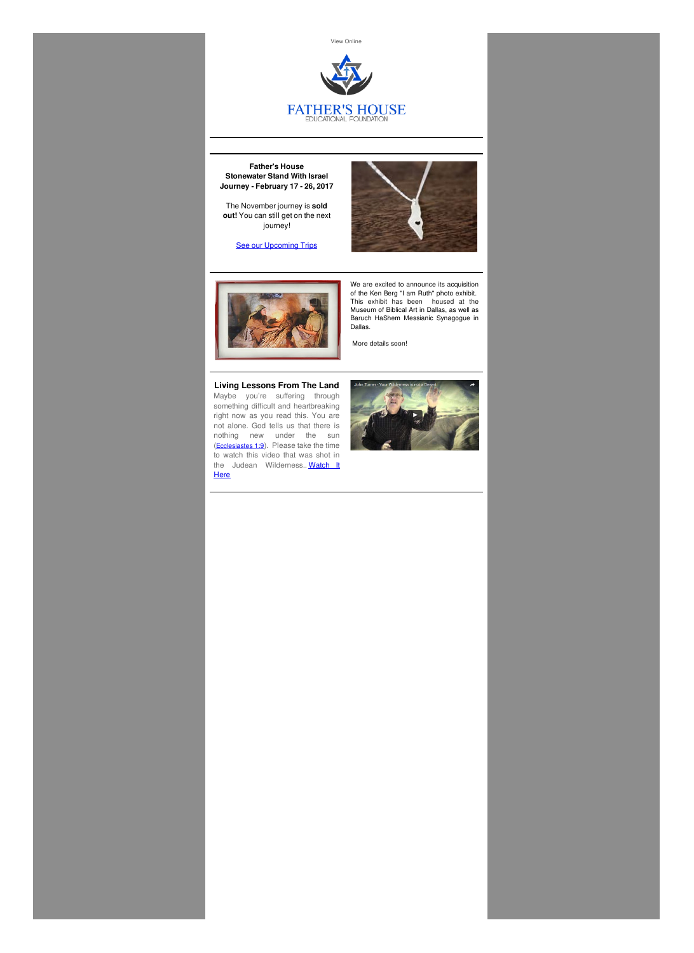View [Online]({VR_HOSTED_LINK})



**Father's House Stonewater Stand With Israel Journey - February 17 - 26, 2017**

The November journey is **sold out!** You can still get on the next journey!

**See our [Upcoming](http://fathershousefoundation.com/upcoming-trips/) Trips** 





Maybe you're suffering through something difficult and heartbreaking right now as you read this. You are not alone. God tells us that there is nothing new under the sun (**[Ecclesiastes](http://www.gnpcb.org/esv/search/?go=Go&q=Ecclesiastes+1%3A9) 1:9**). Please take the time to watch this video that was shot in the Judean [Wilderness..](http://fathershousefoundation.com/2016/05/04/living-lessons-from-the-land/) Watch It **Here** 





We are excited to announce its acquisition of the Ken Berg "I am Ruth" photo exhibit. This exhibit has been housed at the Museum of Biblical Art in Dallas, as well as Baruch HaShem Messianic Synagogue in Dallas.

More details soon!

# **Living Lessons From The Land**